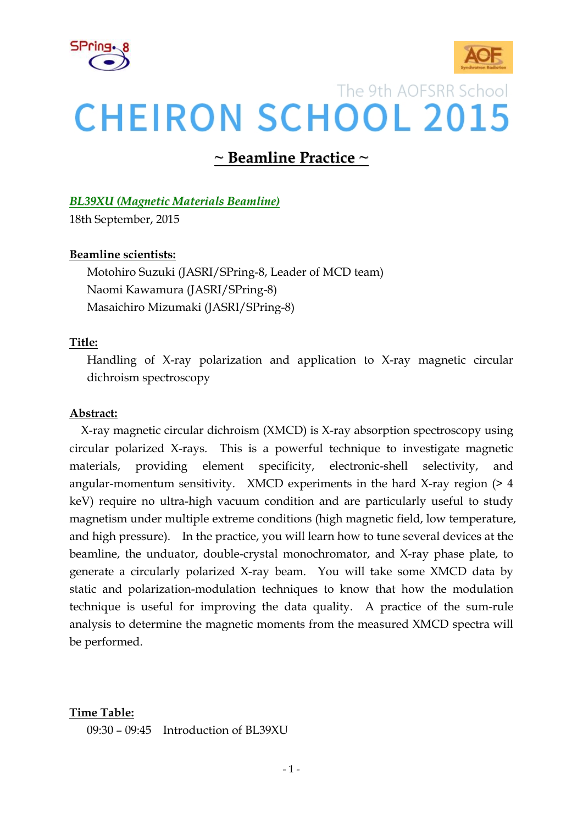



# The 9th AOFSRR School **CHEIRON SCHOOL 2015**

## **~ Beamline Practice ~**

### *BL39XU (Magnetic Materials Beamline)*

18th September, 2015

### **Beamline scientists:**

Motohiro Suzuki (JASRI/SPring-8, Leader of MCD team) Naomi Kawamura (JASRI/SPring-8) Masaichiro Mizumaki (JASRI/SPring-8)

### **Title:**

Handling of X-ray polarization and application to X-ray magnetic circular dichroism spectroscopy

### **Abstract:**

 X-ray magnetic circular dichroism (XMCD) is X-ray absorption spectroscopy using circular polarized X-rays. This is a powerful technique to investigate magnetic materials, providing element specificity, electronic-shell selectivity, and angular-momentum sensitivity. XMCD experiments in the hard X-ray region (> 4 keV) require no ultra-high vacuum condition and are particularly useful to study magnetism under multiple extreme conditions (high magnetic field, low temperature, and high pressure). In the practice, you will learn how to tune several devices at the beamline, the unduator, double-crystal monochromator, and X-ray phase plate, to generate a circularly polarized X-ray beam. You will take some XMCD data by static and polarization-modulation techniques to know that how the modulation technique is useful for improving the data quality. A practice of the sum-rule analysis to determine the magnetic moments from the measured XMCD spectra will be performed.

### **Time Table:**

 $09:30 - 09:45$  Introduction of BL39XU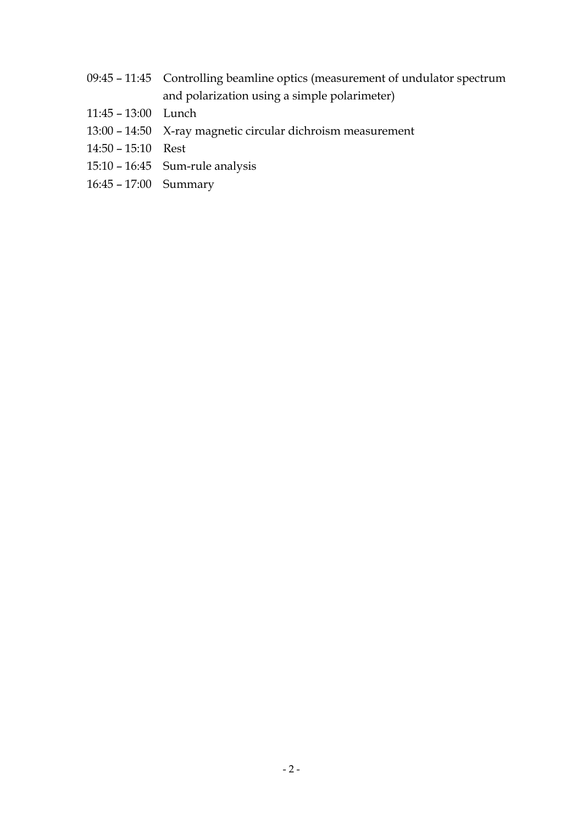- 09:45 11:45 Controlling beamline optics (measurement of undulator spectrum and polarization using a simple polarimeter)
- 11:45 13:00 Lunch
- 13:00 14:50 X-ray magnetic circular dichroism measurement
- 14:50 15:10 Rest
- 15:10 16:45 Sum-rule analysis
- 16:45 17:00 Summary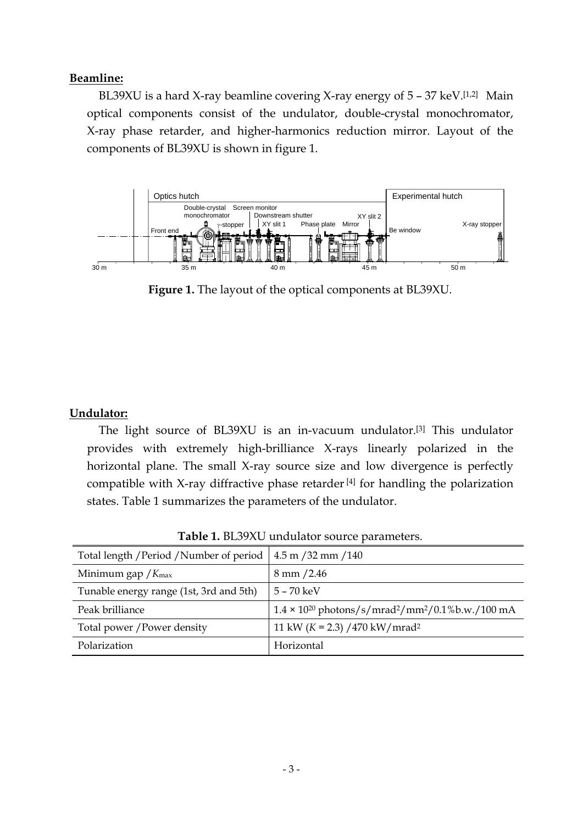### **Beamline:**

BL39XU is a hard X-ray beamline covering X-ray energy of  $5 - 37 \text{ keV}$ .[1,2] Main optical components consist of the undulator, double-crystal monochromator, X-ray phase retarder, and higher-harmonics reduction mirror. Layout of the components of BL39XU is shown in figure 1.



**Figure 1.** The layout of the optical components at BL39XU.

### **Undulator:**

 The light source of BL39XU is an in-vacuum undulator.[3] This undulator provides with extremely high-brilliance X-rays linearly polarized in the horizontal plane. The small X-ray source size and low divergence is perfectly compatible with X-ray diffractive phase retarder [4] for handling the polarization states. Table 1 summarizes the parameters of the undulator.

| Total length / Period / Number of period | $4.5 \text{ m} / 32 \text{ mm} / 140$                                              |
|------------------------------------------|------------------------------------------------------------------------------------|
| Minimum gap $/K_{\text{max}}$            | $8 \text{ mm } / 2.46$                                                             |
| Tunable energy range (1st, 3rd and 5th)  | $5 - 70 \text{ keV}$                                                               |
| Peak brilliance                          | $1.4 \times 10^{20}$ photons/s/mrad <sup>2</sup> /mm <sup>2</sup> /0.1%b.w./100 mA |
| Total power / Power density              | 11 kW ( $K = 2.3$ ) /470 kW/mrad <sup>2</sup>                                      |
| Polarization                             | Horizontal                                                                         |

**Table 1.** BL39XU undulator source parameters.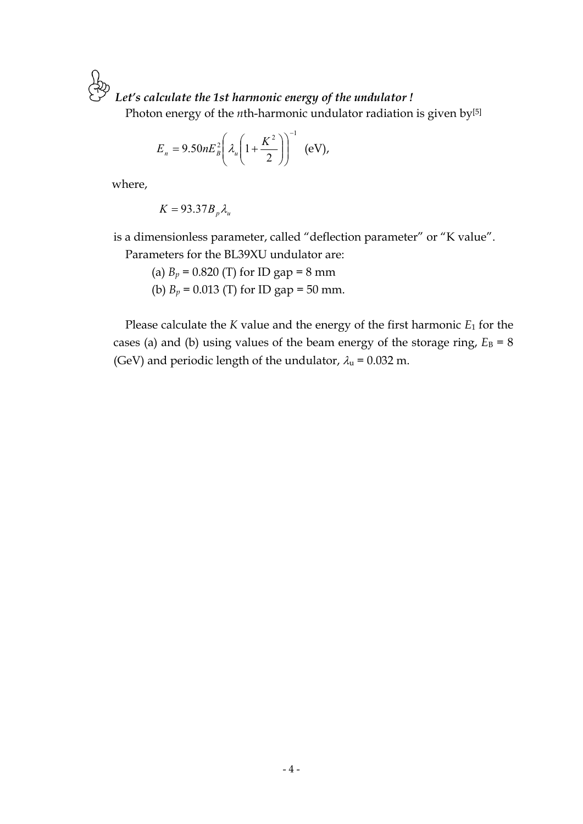*Let's calculate the 1st harmonic energy of the undulator !* 

Photon energy of the *n*th-harmonic undulator radiation is given by<sup>[5]</sup>

$$
E_n = 9.50nE_B^2 \left(\lambda_u \left(1 + \frac{K^2}{2}\right)\right)^{-1} \text{ (eV)},
$$

where,

 $K = 93.37B<sub>n</sub> \lambda_n$ 

is a dimensionless parameter, called "deflection parameter" or "K value".

Parameters for the BL39XU undulator are:

(a)  $B_p = 0.820$  (T) for ID gap = 8 mm

(b)  $B_p = 0.013$  (T) for ID gap = 50 mm.

Please calculate the *K* value and the energy of the first harmonic *E*1 for the cases (a) and (b) using values of the beam energy of the storage ring,  $E_B = 8$ (GeV) and periodic length of the undulator,  $\lambda_u = 0.032$  m.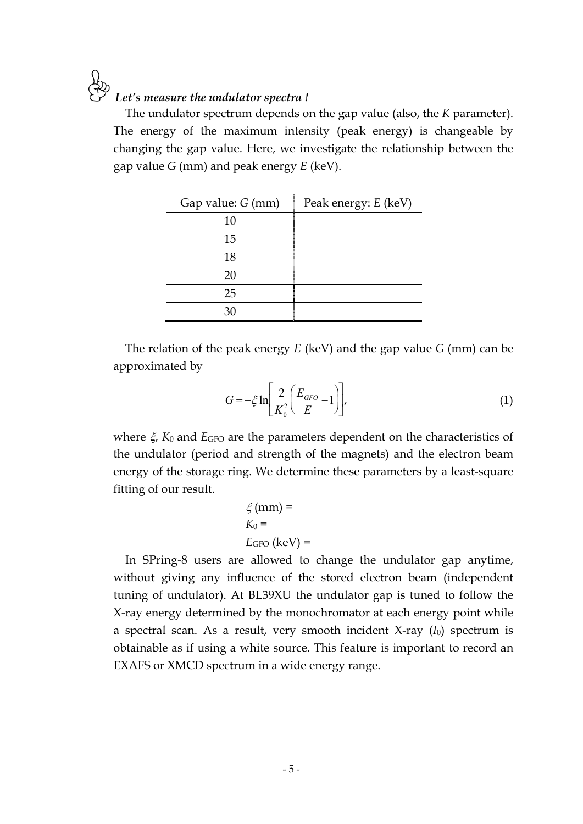# *Let's measure the undulator spectra !*

The undulator spectrum depends on the gap value (also, the *K* parameter). The energy of the maximum intensity (peak energy) is changeable by changing the gap value. Here, we investigate the relationship between the gap value *G* (mm) and peak energy *E* (keV).

| Gap value: G (mm) | Peak energy: E (keV) |  |  |
|-------------------|----------------------|--|--|
| 10                |                      |  |  |
| 15                |                      |  |  |
| 18                |                      |  |  |
| 20                |                      |  |  |
| 25                |                      |  |  |
| 30                |                      |  |  |

The relation of the peak energy *E* (keV) and the gap value *G* (mm) can be approximated by

$$
G = -\xi \ln \left[ \frac{2}{K_0^2} \left( \frac{E_{GFO}}{E} - 1 \right) \right],
$$
\n(1)

where  $\xi$ ,  $K_0$  and  $E$ <sub>GFO</sub> are the parameters dependent on the characteristics of the undulator (period and strength of the magnets) and the electron beam energy of the storage ring. We determine these parameters by a least-square fitting of our result.

$$
\xi \text{ (mm)} =
$$
\n
$$
K_0 =
$$
\n
$$
E_{\text{GFO}} \text{ (keV)} =
$$

In SPring-8 users are allowed to change the undulator gap anytime, without giving any influence of the stored electron beam (independent tuning of undulator). At BL39XU the undulator gap is tuned to follow the X-ray energy determined by the monochromator at each energy point while a spectral scan. As a result, very smooth incident X-ray (*I*0) spectrum is obtainable as if using a white source. This feature is important to record an EXAFS or XMCD spectrum in a wide energy range.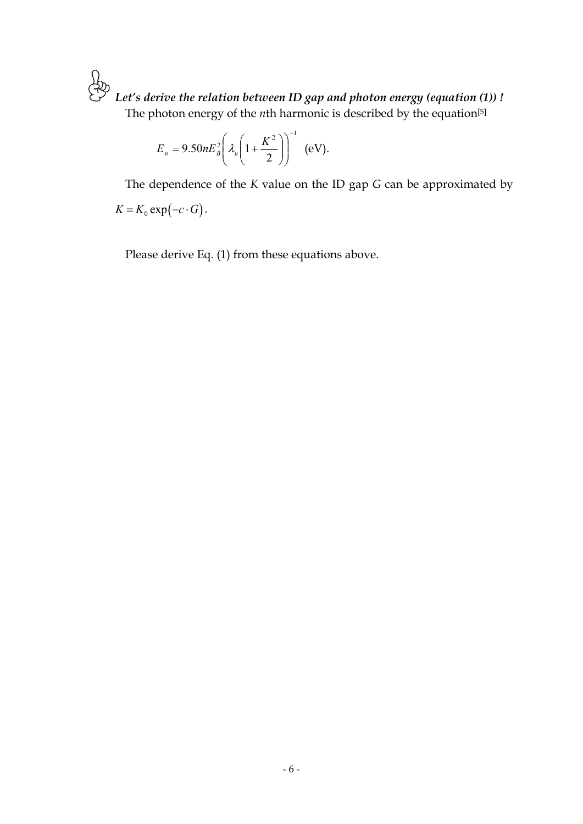த் *Let's derive the relation between ID gap and photon energy (equation (1)) !*  The photon energy of the *n*th harmonic is described by the equation<sup>[5]</sup>

$$
E_n = 9.50nE_B^2 \left(\lambda_u \left(1 + \frac{K^2}{2}\right)\right)^{-1} \text{ (eV)}.
$$

The dependence of the *K* value on the ID gap *G* can be approximated by  $K = K_0 \exp(-c \cdot G)$ .

Please derive Eq. (1) from these equations above.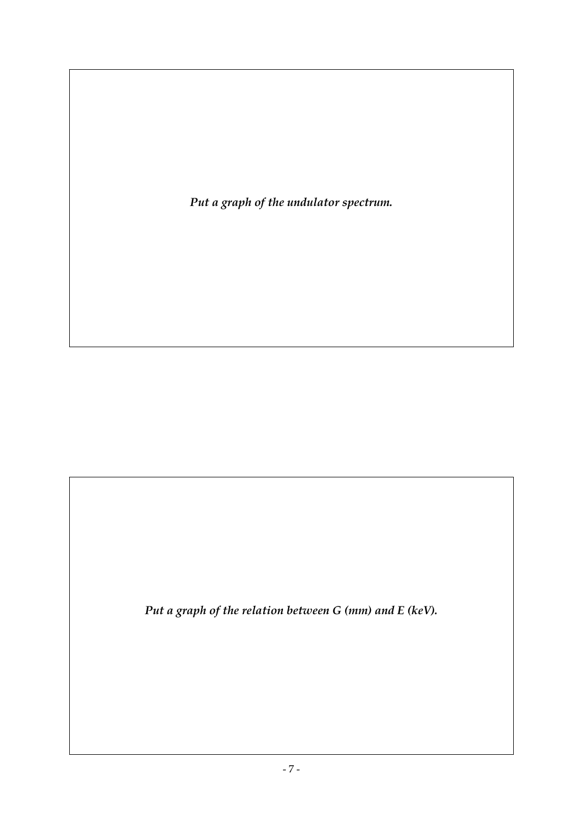*Put a graph of the undulator spectrum.* 

*Put a graph of the relation between G (mm) and E (keV).*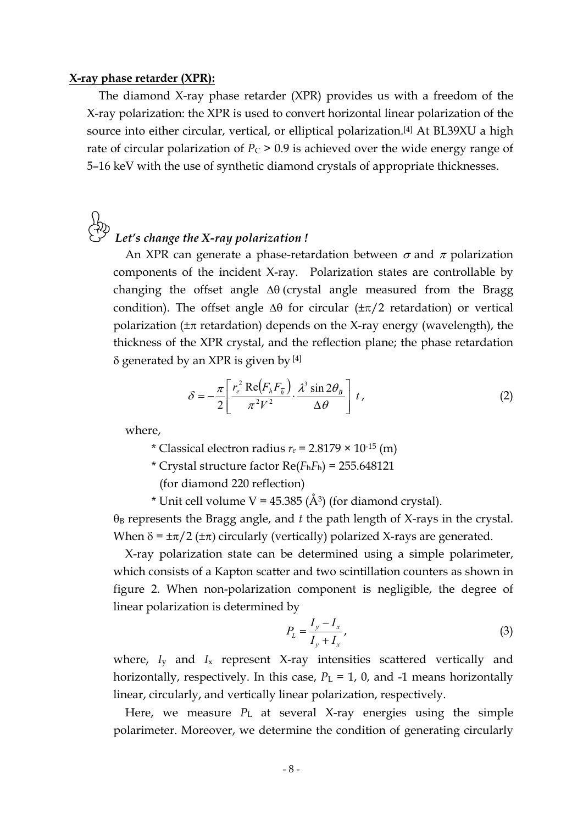#### **X-ray phase retarder (XPR):**

The diamond X-ray phase retarder (XPR) provides us with a freedom of the X-ray polarization: the XPR is used to convert horizontal linear polarization of the source into either circular, vertical, or elliptical polarization.[4] At BL39XU a high rate of circular polarization of  $P_C$  > 0.9 is achieved over the wide energy range of 5–16 keV with the use of synthetic diamond crystals of appropriate thicknesses.

# *Let's change the X-ray polarization !*

An XPR can generate a phase-retardation between  $\sigma$  and  $\pi$  polarization components of the incident X-ray. Polarization states are controllable by changing the offset angle  $\Delta\theta$  (crystal angle measured from the Bragg condition). The offset angle  $\Delta\theta$  for circular ( $\pm \pi/2$  retardation) or vertical polarization ( $\pm \pi$  retardation) depends on the X-ray energy (wavelength), the thickness of the XPR crystal, and the reflection plane; the phase retardation  $\delta$  generated by an XPR is given by [4]

$$
\delta = -\frac{\pi}{2} \left[ \frac{r_e^2 \text{ Re}(F_h F_{\overline{h}})}{\pi^2 V^2} \cdot \frac{\lambda^3 \sin 2\theta_B}{\Delta \theta} \right] t,
$$
 (2)

where,

\* Classical electron radius  $r_e$  = 2.8179  $\times$  10<sup>-15</sup> (m)

\* Crystal structure factor Re(*F*h*F*h) = 255.648121

(for diamond 220 reflection)

\* Unit cell volume  $V = 45.385 \; (\AA)$  (for diamond crystal).

 $\theta_B$  represents the Bragg angle, and  $t$  the path length of X-rays in the crystal. When  $\delta = \pm \pi/2$  ( $\pm \pi$ ) circularly (vertically) polarized X-rays are generated.

X-ray polarization state can be determined using a simple polarimeter, which consists of a Kapton scatter and two scintillation counters as shown in figure 2. When non-polarization component is negligible, the degree of linear polarization is determined by

$$
P_L = \frac{I_y - I_x}{I_y + I_x},
$$
\n(3)

where, *I<sub>y</sub>* and *I<sub>x</sub>* represent X-ray intensities scattered vertically and horizontally, respectively. In this case,  $P_L = 1$ , 0, and -1 means horizontally linear, circularly, and vertically linear polarization, respectively.

Here, we measure *P*<sub>L</sub> at several X-ray energies using the simple polarimeter. Moreover, we determine the condition of generating circularly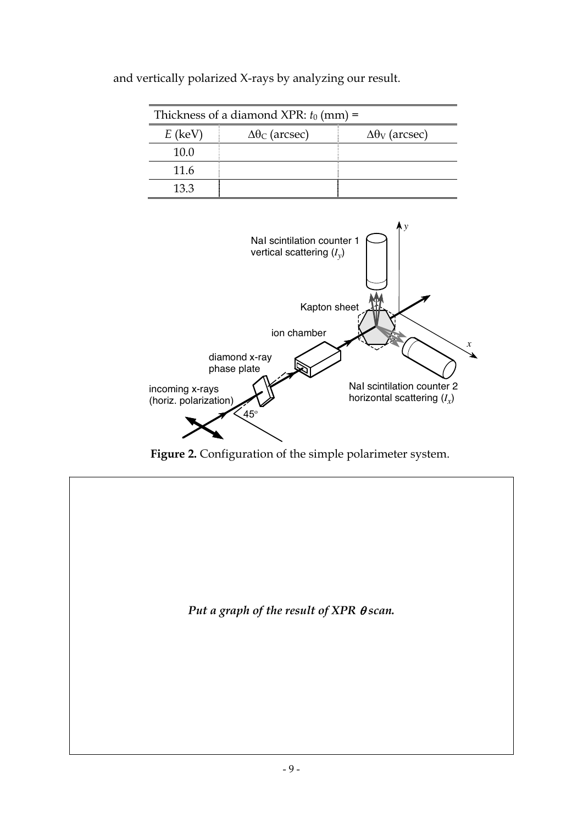| Thickness of a diamond XPR: $t_0$ (mm) = |                           |                                      |  |  |  |
|------------------------------------------|---------------------------|--------------------------------------|--|--|--|
| $E$ (keV)                                | $\Delta\theta_C$ (arcsec) | $\Delta\theta$ <sub>V</sub> (arcsec) |  |  |  |
| 10.0                                     |                           |                                      |  |  |  |
| 11.6                                     |                           |                                      |  |  |  |
| 13.3                                     |                           |                                      |  |  |  |

and vertically polarized X-rays by analyzing our result.



**Figure 2.** Configuration of the simple polarimeter system.

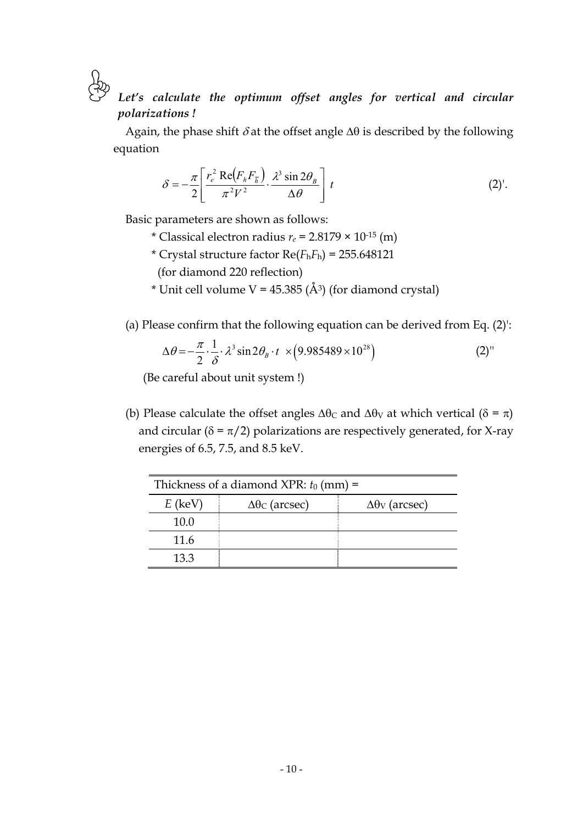Let's calculate the optimum offset angles for vertical and circular *polarizations !* 

Again, the phase shift  $\delta$  at the offset angle  $\Delta\theta$  is described by the following equation

$$
\delta = -\frac{\pi}{2} \left[ \frac{r_e^2 \text{ Re}(F_h F_{\overline{h}})}{\pi^2 V^2} \cdot \frac{\lambda^3 \sin 2\theta_B}{\Delta \theta} \right] t \tag{2}.
$$

Basic parameters are shown as follows:

- \* Classical electron radius  $r_e$  = 2.8179  $\times$  10<sup>-15</sup> (m)
- \* Crystal structure factor Re(*F*h*F*h) = 255.648121

(for diamond 220 reflection)

\* Unit cell volume  $V = 45.385$  (Å<sup>3</sup>) (for diamond crystal)

(a) Please confirm that the following equation can be derived from Eq. (2)':

$$
\Delta\theta = -\frac{\pi}{2} \cdot \frac{1}{\delta} \cdot \lambda^3 \sin 2\theta_B \cdot t \times (9.985489 \times 10^{28})
$$
 (2)

(Be careful about unit system !)

(b) Please calculate the offset angles  $\Delta\theta_C$  and  $\Delta\theta_V$  at which vertical ( $\delta = \pi$ ) and circular ( $\delta = \pi/2$ ) polarizations are respectively generated, for X-ray energies of 6.5, 7.5, and 8.5 keV.

| Thickness of a diamond XPR: $t_0$ (mm) = |                           |                                      |  |  |  |
|------------------------------------------|---------------------------|--------------------------------------|--|--|--|
| $E$ (keV)                                | $\Delta\theta_C$ (arcsec) | $\Delta\theta$ <sub>V</sub> (arcsec) |  |  |  |
| 10.0                                     |                           |                                      |  |  |  |
| 11.6                                     |                           |                                      |  |  |  |
| 13.3                                     |                           |                                      |  |  |  |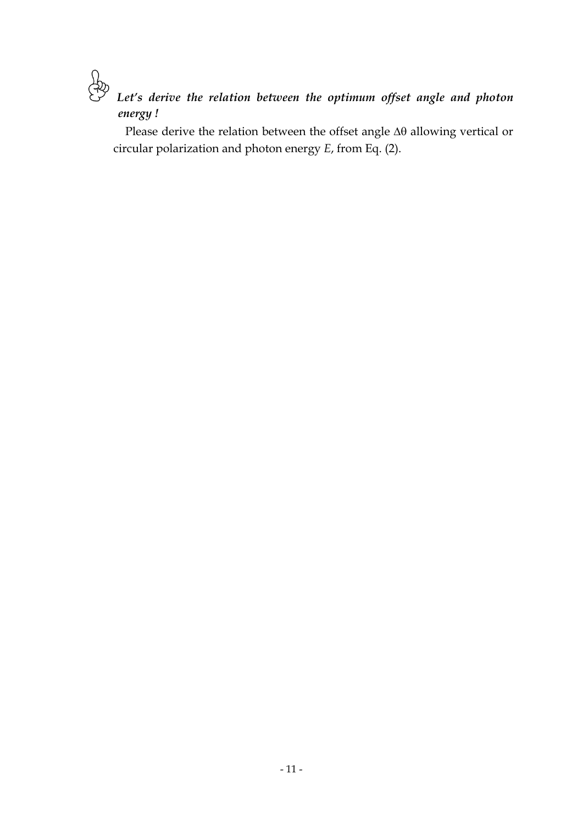*Let's derive the relation between the optimum offset angle and photon energy !* 

Please derive the relation between the offset angle  $\Delta\theta$  allowing vertical or circular polarization and photon energy *E*, from Eq. (2).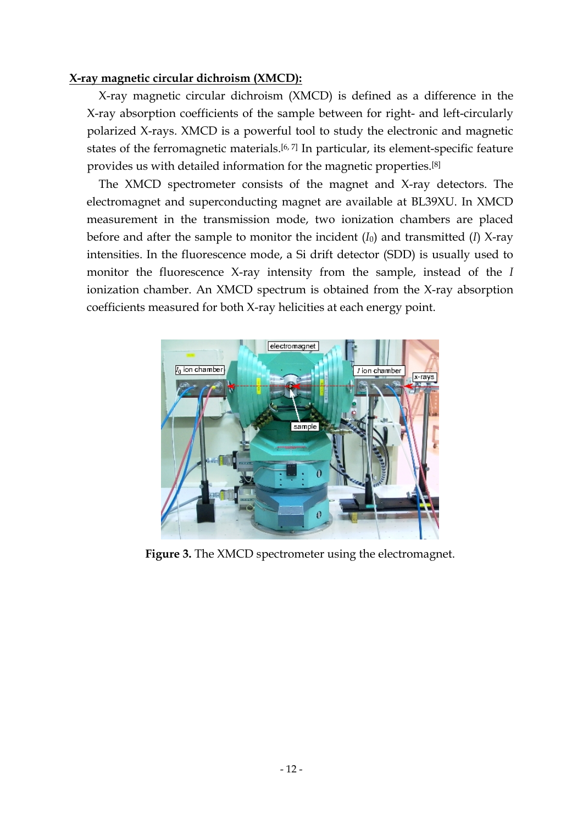### **X-ray magnetic circular dichroism (XMCD):**

X-ray magnetic circular dichroism (XMCD) is defined as a difference in the X-ray absorption coefficients of the sample between for right- and left-circularly polarized X-rays. XMCD is a powerful tool to study the electronic and magnetic states of the ferromagnetic materials.<sup>[6, 7]</sup> In particular, its element-specific feature provides us with detailed information for the magnetic properties.[8]

 The XMCD spectrometer consists of the magnet and X-ray detectors. The electromagnet and superconducting magnet are available at BL39XU. In XMCD measurement in the transmission mode, two ionization chambers are placed before and after the sample to monitor the incident (*I*0) and transmitted (*I*) X-ray intensities. In the fluorescence mode, a Si drift detector (SDD) is usually used to monitor the fluorescence X-ray intensity from the sample, instead of the *I*  ionization chamber. An XMCD spectrum is obtained from the X-ray absorption coefficients measured for both X-ray helicities at each energy point.



**Figure 3.** The XMCD spectrometer using the electromagnet.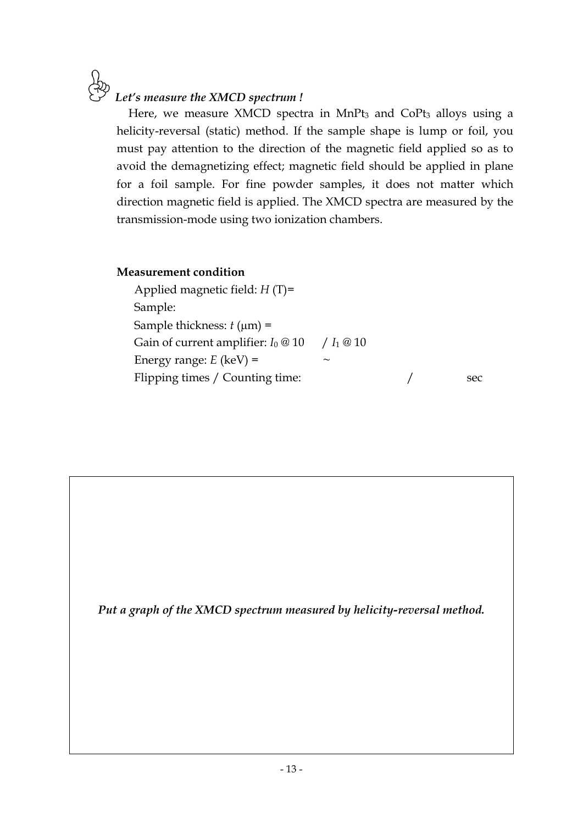### *Let's measure the XMCD spectrum !*

Here, we measure XMCD spectra in MnPt<sub>3</sub> and CoPt<sub>3</sub> alloys using a helicity-reversal (static) method. If the sample shape is lump or foil, you must pay attention to the direction of the magnetic field applied so as to avoid the demagnetizing effect; magnetic field should be applied in plane for a foil sample. For fine powder samples, it does not matter which direction magnetic field is applied. The XMCD spectra are measured by the transmission-mode using two ionization chambers.

### **Measurement condition**

 Applied magnetic field: *H* (T)= Sample: Sample thickness:  $t$  ( $\mu$ m) = Gain of current amplifier:  $I_0 \otimes 10$  /  $I_1 \otimes 10$ Energy range:  $E$  (keV) = Flipping times / Counting time:  $\frac{1}{2}$  sec

*Put a graph of the XMCD spectrum measured by helicity-reversal method.*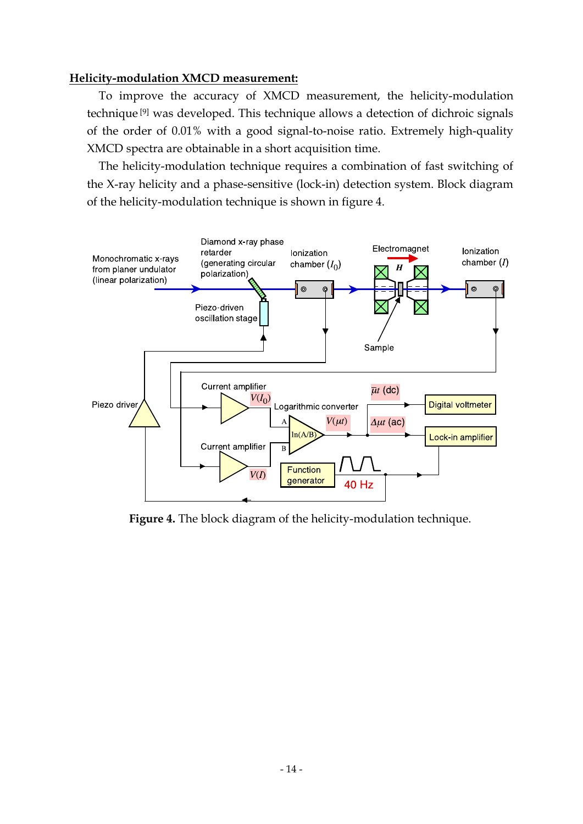### **Helicity-modulation XMCD measurement:**

 To improve the accuracy of XMCD measurement, the helicity-modulation technique [9] was developed. This technique allows a detection of dichroic signals of the order of 0.01% with a good signal-to-noise ratio. Extremely high-quality XMCD spectra are obtainable in a short acquisition time.

 The helicity-modulation technique requires a combination of fast switching of the X-ray helicity and a phase-sensitive (lock-in) detection system. Block diagram of the helicity-modulation technique is shown in figure 4.



**Figure 4.** The block diagram of the helicity-modulation technique.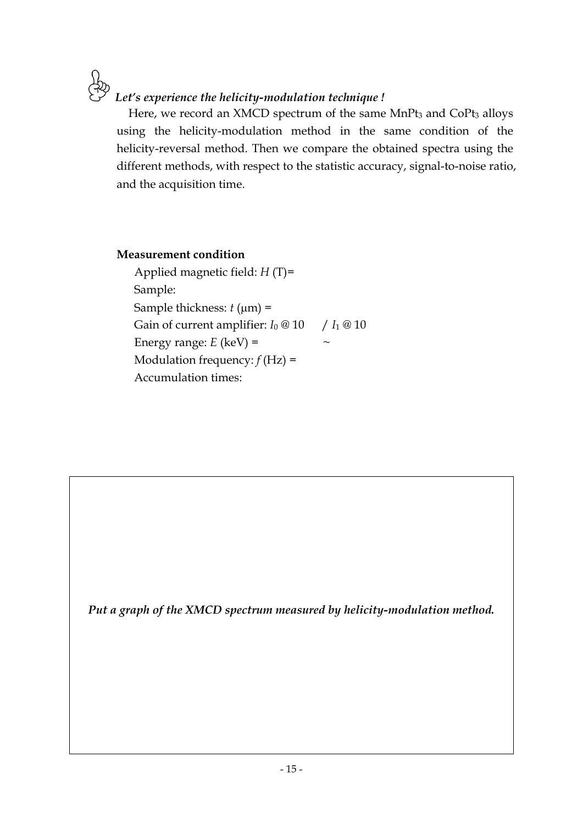*Let's experience the helicity-modulation technique !* 

Here, we record an XMCD spectrum of the same MnPt<sub>3</sub> and CoPt<sub>3</sub> alloys using the helicity-modulation method in the same condition of the helicity-reversal method. Then we compare the obtained spectra using the different methods, with respect to the statistic accuracy, signal-to-noise ratio, and the acquisition time.

### **Measurement condition**

 Applied magnetic field: *H* (T)= Sample: Sample thickness:  $t$  ( $\mu$ m) = Gain of current amplifier:  $I_0 \otimes 10$  /  $I_1 \otimes 10$ Energy range:  $E$  (keV) = Modulation frequency:  $f(Hz) =$ Accumulation times:

*Put a graph of the XMCD spectrum measured by helicity-modulation method.*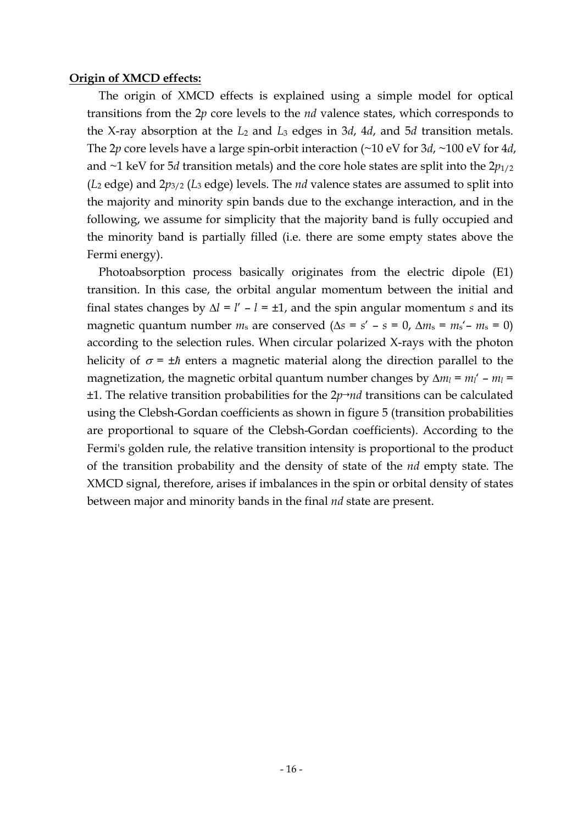### **Origin of XMCD effects:**

The origin of XMCD effects is explained using a simple model for optical transitions from the 2*p* core levels to the *nd* valence states, which corresponds to the X-ray absorption at the *L*2 and *L*3 edges in 3*d*, 4*d*, and 5*d* transition metals. The 2*p* core levels have a large spin-orbit interaction (~10 eV for 3*d*, ~100 eV for 4*d*, and  $\sim$ 1 keV for 5*d* transition metals) and the core hole states are split into the  $2p_{1/2}$ (*L*2 edge) and 2*p*3/2 (*L*3 edge) levels. The *nd* valence states are assumed to split into the majority and minority spin bands due to the exchange interaction, and in the following, we assume for simplicity that the majority band is fully occupied and the minority band is partially filled (i.e. there are some empty states above the Fermi energy).

Photoabsorption process basically originates from the electric dipole (E1) transition. In this case, the orbital angular momentum between the initial and final states changes by  $\Delta l = l' - l = \pm 1$ , and the spin angular momentum *s* and its magnetic quantum number  $m_s$  are conserved ( $\Delta s = s' - s = 0$ ,  $\Delta m_s = m_s' - m_s = 0$ ) according to the selection rules. When circular polarized X-rays with the photon helicity of  $\sigma = \pm \hbar$  enters a magnetic material along the direction parallel to the magnetization, the magnetic orbital quantum number changes by  $\Delta m_l = m_l' - m_l =$ ±1. The relative transition probabilities for the 2*p*→*nd* transitions can be calculated using the Clebsh-Gordan coefficients as shown in figure 5 (transition probabilities are proportional to square of the Clebsh-Gordan coefficients). According to the Fermi's golden rule, the relative transition intensity is proportional to the product of the transition probability and the density of state of the *nd* empty state. The XMCD signal, therefore, arises if imbalances in the spin or orbital density of states between major and minority bands in the final *nd* state are present.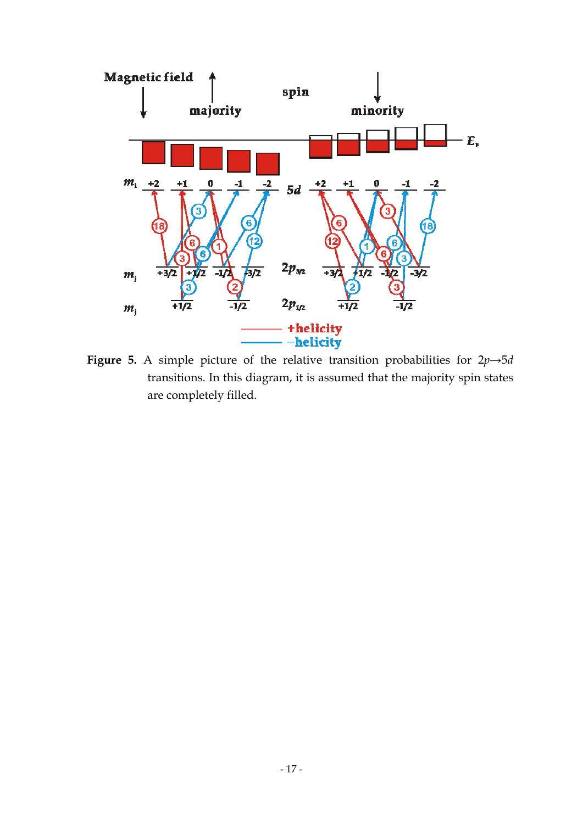

**Figure 5.** A simple picture of the relative transition probabilities for  $2p \rightarrow 5d$ transitions. In this diagram, it is assumed that the majority spin states are completely filled.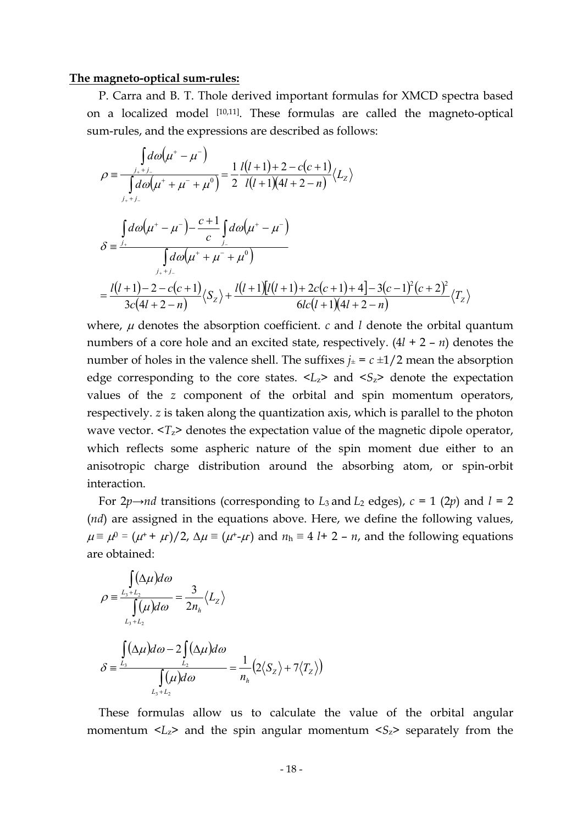#### **The magneto-optical sum-rules:**

P. Carra and B. T. Thole derived important formulas for XMCD spectra based on a localized model [10,11]. These formulas are called the magneto-optical sum-rules, and the expressions are described as follows:

$$
\rho = \frac{\int_{j_{+}+j_{-}}d\omega(\mu^{+} - \mu^{-})}{\int_{j_{+}+j_{-}}d\omega(\mu^{+} + \mu^{-} + \mu^{0})} = \frac{1}{2} \frac{l(l+1)+2-c(c+1)}{l(l+1)(4l+2-n)} \langle L_{z} \rangle
$$
  

$$
\delta = \frac{\int_{j_{+}}d\omega(\mu^{+} - \mu^{-}) - \frac{c+1}{c} \int_{j_{-}}d\omega(\mu^{+} - \mu^{-})}{\int_{j_{+}+j_{-}}d\omega(\mu^{+} + \mu^{-} + \mu^{0})}
$$
  

$$
= \frac{l(l+1)-2-c(c+1)}{3c(4l+2-n)} \langle S_{z} \rangle + \frac{l(l+1)[l(l+1)+2c(c+1)+4]-3(c-1)^{2}(c+2)^{2}}{6lc(l+1)(4l+2-n)} \langle T_{z} \rangle
$$

where,  $\mu$  denotes the absorption coefficient.  $c$  and  $l$  denote the orbital quantum numbers of a core hole and an excited state, respectively. (4*l* + 2 – *n*) denotes the number of holes in the valence shell. The suffixes  $j_{\pm} = c \pm 1/2$  mean the absorption edge corresponding to the core states.  $\langle L_z \rangle$  and  $\langle S_z \rangle$  denote the expectation values of the *z* component of the orbital and spin momentum operators, respectively. *z* is taken along the quantization axis, which is parallel to the photon wave vector.  $T_z$  denotes the expectation value of the magnetic dipole operator, which reflects some aspheric nature of the spin moment due either to an anisotropic charge distribution around the absorbing atom, or spin-orbit interaction.

For  $2p \rightarrow nd$  transitions (corresponding to *L*<sub>3</sub> and *L*<sub>2</sub> edges),  $c = 1$  (2*p*) and  $l = 2$ (*nd*) are assigned in the equations above. Here, we define the following values,  $\mu \equiv \mu^0 = (\mu^+ + \mu)/2$ ,  $\Delta \mu \equiv (\mu^+ \mu)$  and  $n_h \equiv 4$  *l*+ 2 – *n*, and the following equations are obtained:

$$
\rho = \frac{\int_{L_3 + L_2} (\Delta \mu) d\omega}{\int_{L_3 + L_2} (\mu) d\omega} = \frac{3}{2n_h} \langle L_z \rangle
$$

$$
\delta = \frac{\int_{L_3} (\Delta \mu) d\omega - 2 \int_{L_2} (\Delta \mu) d\omega}{\int_{L_3 + L_2} (\mu) d\omega} = \frac{1}{n_h} (2 \langle S_z \rangle + 7 \langle T_z \rangle)
$$

These formulas allow us to calculate the value of the orbital angular momentum  $\langle L_z \rangle$  and the spin angular momentum  $\langle S_z \rangle$  separately from the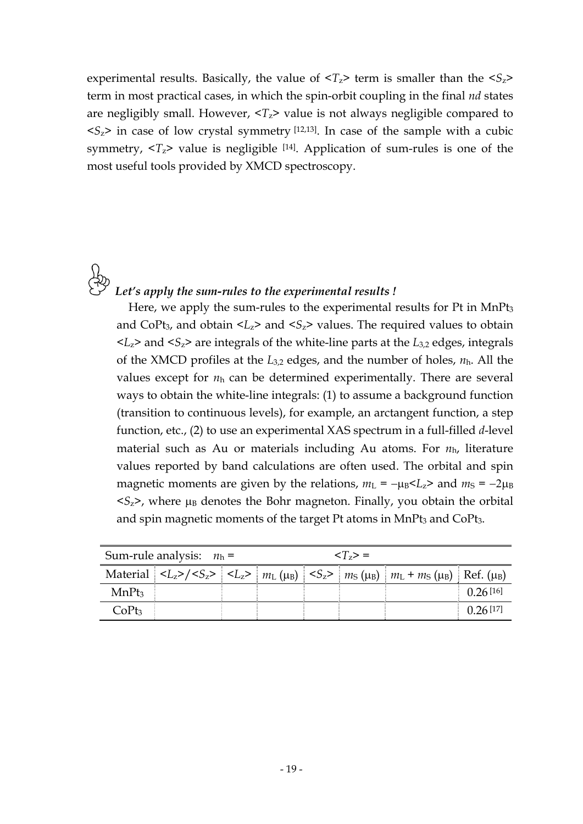experimental results. Basically, the value of  $\langle T_z \rangle$  term is smaller than the  $\langle S_z \rangle$ term in most practical cases, in which the spin-orbit coupling in the final *nd* states are negligibly small. However,  $T_z$  value is not always negligible compared to  $\langle S_2 \rangle$  in case of low crystal symmetry [12,13]. In case of the sample with a cubic symmetry,  $\langle T_z \rangle$  value is negligible [14]. Application of sum-rules is one of the most useful tools provided by XMCD spectroscopy.

### *Let's apply the sum-rules to the experimental results !*

Here, we apply the sum-rules to the experimental results for  $Pt$  in Mn $Pt<sub>3</sub>$ and CoPt<sub>3</sub>, and obtain  $\langle L_z \rangle$  and  $\langle S_z \rangle$  values. The required values to obtain  $< L<sub>z</sub>$  and  $< S<sub>z</sub>$  are integrals of the white-line parts at the  $L<sub>3,2</sub>$  edges, integrals of the XMCD profiles at the *L*3,2 edges, and the number of holes, *n*h. All the values except for *n*h can be determined experimentally. There are several ways to obtain the white-line integrals: (1) to assume a background function (transition to continuous levels), for example, an arctangent function, a step function, etc., (2) to use an experimental XAS spectrum in a full-filled *d*-level material such as Au or materials including Au atoms. For *n*h, literature values reported by band calculations are often used. The orbital and spin magnetic moments are given by the relations,  $m_L = -\mu_B < L_z$  and  $m_S = -2\mu_B$  $\langle S_z \rangle$ , where  $\mu_B$  denotes the Bohr magneton. Finally, you obtain the orbital and spin magnetic moments of the target Pt atoms in MnPt<sub>3</sub> and CoPt<sub>3</sub>.

| Sum-rule analysis: $n_h$ = |  |  | $\langle T_z \rangle =$ |  |                                                                                                                                                     |          |
|----------------------------|--|--|-------------------------|--|-----------------------------------------------------------------------------------------------------------------------------------------------------|----------|
|                            |  |  |                         |  | Material $ Z_{Z}\rangle / \langle S_{Z}\rangle$ $ Z_{Z}\rangle$ $ m_L(\mu_B)  \langle S_{Z}\rangle  m_S(\mu_B)  m_L + m_S(\mu_B) $ Ref. ( $\mu_B$ ) |          |
| MnPt <sub>3</sub>          |  |  |                         |  |                                                                                                                                                     | 0.26[16] |
| CoPt <sub>3</sub>          |  |  |                         |  |                                                                                                                                                     | 0.26[17] |